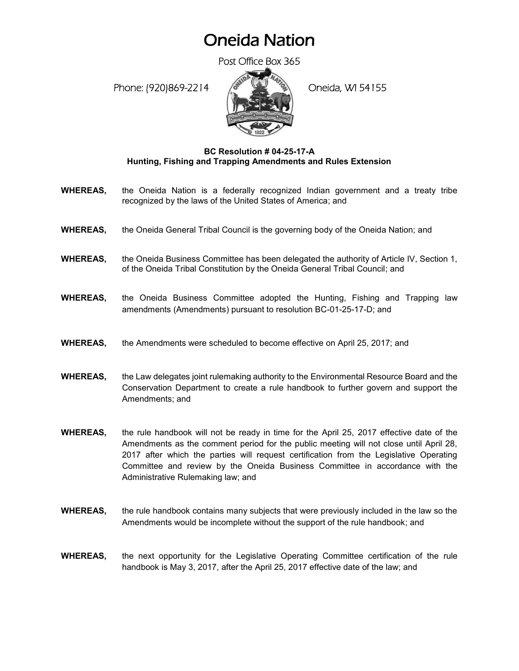## Oneida Nation

Post Office Box 365

Phone: (920)869-2214 (Company of the Cheida, WI 54155



## **BC Resolution # 04-25-17-A Hunting, Fishing and Trapping Amendments and Rules Extension**

- **WHEREAS,** the Oneida Nation is a federally recognized Indian government and a treaty tribe recognized by the laws of the United States of America; and
- **WHEREAS,** the Oneida General Tribal Council is the governing body of the Oneida Nation; and
- **WHEREAS,** the Oneida Business Committee has been delegated the authority of Article IV, Section 1, of the Oneida Tribal Constitution by the Oneida General Tribal Council; and
- **WHEREAS,** the Oneida Business Committee adopted the Hunting, Fishing and Trapping law amendments (Amendments) pursuant to resolution BC-01-25-17-D; and
- **WHEREAS,** the Amendments were scheduled to become effective on April 25, 2017; and
- **WHEREAS,** the Law delegates joint rulemaking authority to the Environmental Resource Board and the Conservation Department to create a rule handbook to further govern and support the Amendments; and
- **WHEREAS,** the rule handbook will not be ready in time for the April 25, 2017 effective date of the Amendments as the comment period for the public meeting will not close until April 28, 2017 after which the parties will request certification from the Legislative Operating Committee and review by the Oneida Business Committee in accordance with the Administrative Rulemaking law; and
- **WHEREAS,** the rule handbook contains many subjects that were previously included in the law so the Amendments would be incomplete without the support of the rule handbook; and
- **WHEREAS,** the next opportunity for the Legislative Operating Committee certification of the rule handbook is May 3, 2017, after the April 25, 2017 effective date of the law; and